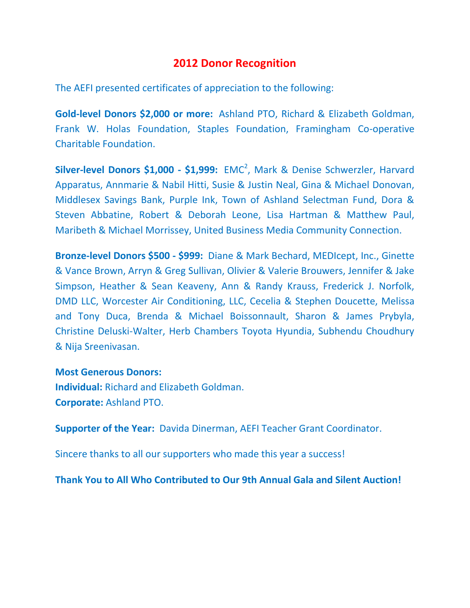## **2012 Donor Recognition**

The AEFI presented certificates of appreciation to the following:

**Gold-level Donors \$2,000 or more:** Ashland PTO, Richard & Elizabeth Goldman, Frank W. Holas Foundation, Staples Foundation, Framingham Co-operative Charitable Foundation.

**Silver-level Donors \$1,000 - \$1,999:** EMC<sup>2</sup>, Mark & Denise Schwerzler, Harvard Apparatus, Annmarie & Nabil Hitti, Susie & Justin Neal, Gina & Michael Donovan, Middlesex Savings Bank, Purple Ink, Town of Ashland Selectman Fund, Dora & Steven Abbatine, Robert & Deborah Leone, Lisa Hartman & Matthew Paul, Maribeth & Michael Morrissey, United Business Media Community Connection.

**Bronze-level Donors \$500 - \$999:** Diane & Mark Bechard, MEDIcept, Inc., Ginette & Vance Brown, Arryn & Greg Sullivan, Olivier & Valerie Brouwers, Jennifer & Jake Simpson, Heather & Sean Keaveny, Ann & Randy Krauss, Frederick J. Norfolk, DMD LLC, Worcester Air Conditioning, LLC, Cecelia & Stephen Doucette, Melissa and Tony Duca, Brenda & Michael Boissonnault, Sharon & James Prybyla, Christine Deluski-Walter, Herb Chambers Toyota Hyundia, Subhendu Choudhury & Nija Sreenivasan.

#### **Most Generous Donors:**

**Individual:** Richard and Elizabeth Goldman. **Corporate:** Ashland PTO.

**Supporter of the Year:** Davida Dinerman, AEFI Teacher Grant Coordinator.

Sincere thanks to all our supporters who made this year a success!

**Thank You to All Who Contributed to Our 9th Annual Gala and Silent Auction!**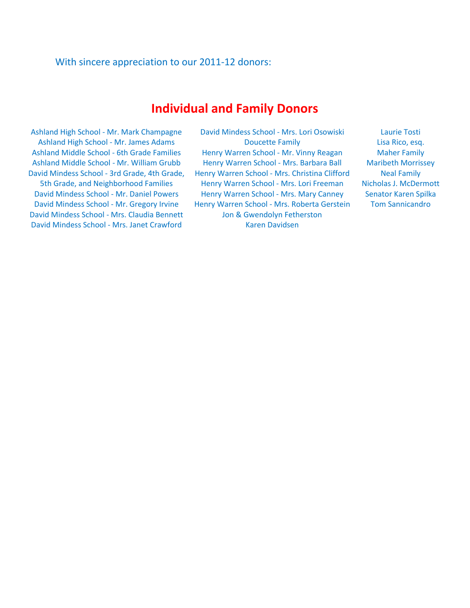#### With sincere appreciation to our 2011-12 donors:

# **Individual and Family Donors**

David Mindess School - 3rd Grade, 4th Grade, 5th Grade, and Neighborhood Families David Mindess School - Mrs. Claudia Bennett Jon & Gwendolyn Fetherston David Mindess School - Mrs. Janet Crawford Karen Davidsen

Ashland High School - Mr. Mark Champagne David Mindess School - Mrs. Lori Osowiski Laurie Tosti Ashland High School - Mr. James Adams **Doucette Family Lisa Rico, esq.** Clisa Rico, esq. Ashland Middle School - 6th Grade Families Henry Warren School - Mr. Vinny Reagan Maher Family Ashland Middle School - Mr. William Grubb Henry Warren School - Mrs. Barbara Ball Maribeth Morrissey Henry Warren School - Mrs. Christina Clifford Henry Warren School - Mrs. Lori Freeman David Mindess School - Mr. Daniel Powers Henry Warren School - Mrs. Mary Canney Senator Karen Spilka David Mindess School - Mr. Gregory Irvine Henry Warren School - Mrs. Roberta Gerstein Tom Sannicandro

Neal Family Nicholas J. McDermott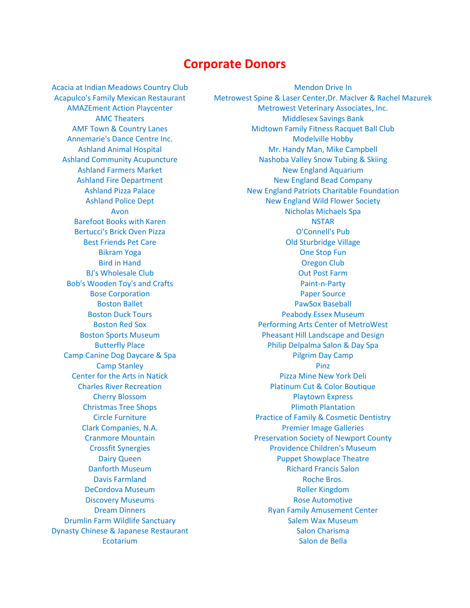### **Corporate Donors**

Acacia at Indian Meadows Country Club Mendon Drive In Barefoot Books with Karen NSTAR NSTAR NSTAR Dynasty Chinese & Japanese Restaurant Salon Charisma

Acapulco's Family Mexican Restaurant Metrowest Spine & Laser Center,Dr. MacIver & Rachel Mazurek AMAZEment Action Playcenter Metrowest Veterinary Associates, Inc. AMC Theaters **Middlesex Savings Bank** AMF Town & Country Lanes Milled Midtown Family Fitness Racquet Ball Club Annemarie's Dance Centre Inc. **Modelville Hobby** Modelville Hobby Ashland Animal Hospital Mr. Handy Man, Mike Campbell Ashland Community Acupuncture Nashoba Valley Snow Tubing & Skiing Ashland Farmers Market New England Aquarium Ashland Fire Department New England Bead Company Ashland Pizza Palace New England Patriots Charitable Foundation Ashland Police Dept New England Wild Flower Society Avon **Nicholas Michaels Spa** Bertucci's Brick Oven Pizza O'Connell's Pub Best Friends Pet Care Old Sturbridge Village Bikram Yoga **One Stop Fun** Bird in Hand **Oregon Club** BJ's Wholesale Club **Out Post Farm** Bob's Wooden Toy's and Crafts **Paint-n-Party** Paint-n-Party Bose Corporation **Paper Source** Boston Ballet **PawSox Baseball** Boston Duck Tours **Peabody Essex Museum** Boston Red Sox Performing Arts Center of MetroWest Boston Sports Museum Pheasant Hill Landscape and Design Butterfly Place **Philip Delpalma Salon & Day Spa Camp Canine Dog Daycare & Spa Pilgrim Day Camp Pilgrim Day Camp** Camp Stanley **Pinz** Center for the Arts in Natick **Pizza Mine New York Deli** Charles River Recreation Platinum Cut & Color Boutique **Cherry Blossom Cherry Blossom Cherry Blossom Cherry Blossom Cherry Blossom Cherry Blossom Cherry Blossom Cherry Advanced Accounts Christmas Tree Shops Christmas Tree Shops Plimoth Plantation Plimoth Plantation** Circle Furniture **Practice of Family & Cosmetic Dentistry** Clark Companies, N.A. Premier Image Galleries Cranmore Mountain Preservation Society of Newport County Crossfit Synergies Providence Children's Museum Dairy Queen Puppet Showplace Theatre Danforth Museum Richard Francis Salon Davis Farmland **Roche Bros.** (Roche Bros. 1999). The Roche Bros. (Roche Bros. 1999). DeCordova Museum and a state of the Cordova Museum and a state of the Roller Kingdom **Discovery Museums Rose Automotive** Rose Automotive **Dream Dinners Center Ryan Family Amusement Center Drumlin Farm Wildlife Sanctuary National Salem Wax Museum** Ecotarium Salon de Bella